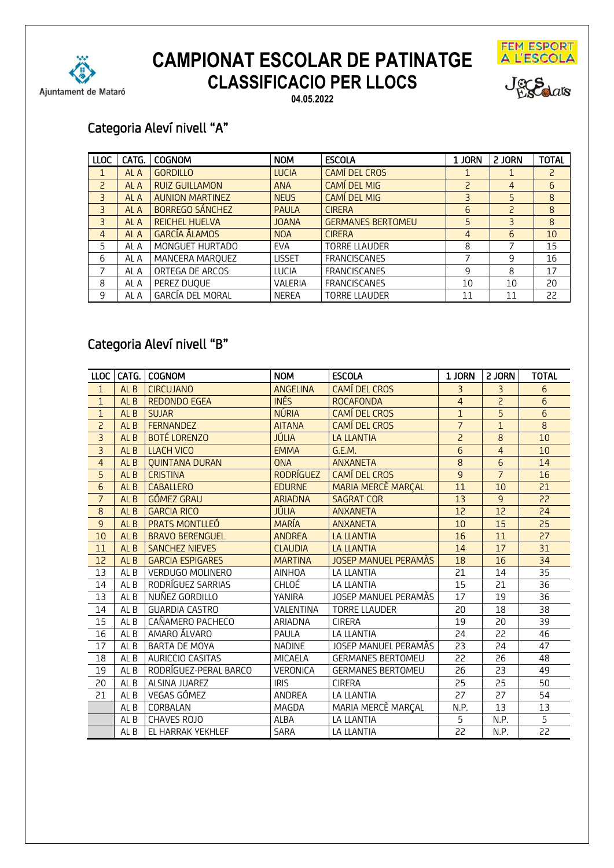



Jeg Salars

**04.05.2022**

## Categoria Aleví nivell "A"

| <b>LLOC</b>              | CATG. | <b>COGNOM</b>           | <b>NOM</b>    | <b>ESCOLA</b>            | 1 JORN | 2 JORN | <b>TOTAL</b>   |
|--------------------------|-------|-------------------------|---------------|--------------------------|--------|--------|----------------|
|                          | AL A  | <b>GORDILLO</b>         | <b>LUCIA</b>  | <b>CAMÍ DEL CROS</b>     |        |        | $\overline{c}$ |
| $\overline{\phantom{0}}$ | AL A  | <b>RUIZ GUILLAMON</b>   | <b>ANA</b>    | <b>CAMÍ DEL MIG</b>      | 2      | 4      | 6              |
| 3                        | AL A  | <b>AUNION MARTINEZ</b>  | <b>NEUS</b>   | <b>CAMÍ DEL MIG</b>      | 3      | 5      | 8              |
| 3                        | AL A  | <b>BORREGO SÁNCHEZ</b>  | <b>PAULA</b>  | <b>CIRERA</b>            | 6      | P      | 8              |
| 3                        | AL A  | <b>REICHEL HUELVA</b>   | <b>JOANA</b>  | <b>GERMANES BERTOMEU</b> | 5      | 3      | 8              |
| 4                        | AL A  | <b>GARCÍA ÁLAMOS</b>    | <b>NOA</b>    | <b>CIRERA</b>            | 4      | 6      | 10             |
| 5                        | AL A  | MONGUET HURTADO         | <b>EVA</b>    | <b>TORRE LLAUDER</b>     | 8      |        | 15             |
| 6                        | AL A  | MANCERA MARQUEZ         | <b>LISSET</b> | <b>FRANCISCANES</b>      |        | 9      | 16             |
| 7                        | AL A  | ORTEGA DE ARCOS         | <b>LUCIA</b>  | <b>FRANCISCANES</b>      | 9      | 8      | 17             |
| 8                        | AL A  | PEREZ DUQUE             | VALERIA       | <b>FRANCISCANES</b>      | 10     | 10     | 20             |
| 9                        | AL A  | <b>GARCÍA DEL MORAL</b> | <b>NEREA</b>  | <b>TORRE LLAUDER</b>     | 11     | 11     | 22             |

#### Categoria Aleví nivell "B"

| <b>LLOC</b>    |                 | CATG.   COGNOM          | <b>NOM</b>       | <b>ESCOLA</b>             | 1 JORN          | 2 JORN         | <b>TOTAL</b>    |
|----------------|-----------------|-------------------------|------------------|---------------------------|-----------------|----------------|-----------------|
| $\mathbf{1}$   | AL <sub>B</sub> | <b>CIRCUJANO</b>        | <b>ANGELINA</b>  | <b>CAMÍ DEL CROS</b>      | 3               | $\overline{3}$ | 6               |
| $\mathbf{1}$   | AL <sub>B</sub> | <b>REDONDO EGEA</b>     | <b>INÉS</b>      | <b>ROCAFONDA</b>          | $\overline{4}$  | $\overline{c}$ | $6\phantom{1}6$ |
| $1\,$          | AL <sub>B</sub> | <b>SUJAR</b>            | <b>NÚRIA</b>     | CAMÍ DEL CROS             | $\overline{1}$  | 5              | 6               |
| $\overline{c}$ | AL <sub>B</sub> | <b>FERNANDEZ</b>        | <b>AITANA</b>    | <b>CAMÍ DEL CROS</b>      | $\overline{7}$  | $\mathbf{1}$   | 8               |
| $\overline{3}$ | AL <sub>B</sub> | <b>BOTÉ LORENZO</b>     | <b>JÚLIA</b>     | <b>LA LLANTIA</b>         | $\overline{c}$  | 8              | 10              |
| $\overline{3}$ | AL <sub>B</sub> | <b>LLACH VICO</b>       | <b>EMMA</b>      | G.E.M.                    | 6               | $\overline{4}$ | 10              |
| $\overline{4}$ | AL <sub>B</sub> | <b>OUINTANA DURAN</b>   | <b>ONA</b>       | <b>ANXANETA</b>           | 8               | 6              | 14              |
| $\overline{5}$ | AL <sub>B</sub> | <b>CRISTINA</b>         | <b>RODRÍGUEZ</b> | <b>CAMÍ DEL CROS</b>      | 9               | $\overline{7}$ | 16              |
| 6              | AL <sub>B</sub> | <b>CABALLERO</b>        | <b>EDURNE</b>    | <b>MARIA MERCÈ MARCAL</b> | 11              | 10             | 21              |
| $\overline{7}$ | AL <sub>B</sub> | <b>GÓMEZ GRAU</b>       | <b>ARIADNA</b>   | <b>SAGRAT COR</b>         | 13              | 9              | 22              |
| $\,8\,$        | AL <sub>B</sub> | <b>GARCIA RICO</b>      | JÚLIA            | <b>ANXANETA</b>           | 12              | 12             | 24              |
| $\overline{9}$ | AL <sub>B</sub> | <b>PRATS MONTLLEO</b>   | <b>MARÍA</b>     | <b>ANXANETA</b>           | 10              | 15             | 25              |
| 10             | AL <sub>B</sub> | <b>BRAVO BERENGUEL</b>  | <b>ANDREA</b>    | <b>LA LLANTIA</b>         | 16              | 11             | 27              |
| 11             | AL <sub>B</sub> | <b>SANCHEZ NIEVES</b>   | <b>CLAUDIA</b>   | <b>LA LLANTIA</b>         | 14              | 17             | 31              |
| 12             | AL <sub>B</sub> | <b>GARCIA ESPIGARES</b> | <b>MARTINA</b>   | JOSEP MANUEL PERAMÀS      | 18              | 16             | 34              |
| 13             | AL B            | <b>VERDUGO MOLINERO</b> | <b>AINHOA</b>    | LA LLANTIA                | 21              | 14             | 35              |
| 14             | AL <sub>B</sub> | RODRÍGUEZ SARRIAS       | CHLOÉ            | LA LLANTIA                | 15              | 21             | 36              |
| 13             | AL <sub>B</sub> | NUÑEZ GORDILLO          | YANIRA           | JOSEP MANUEL PERAMAS      | 17              | 19             | 36              |
| 14             | AL B            | <b>GUARDIA CASTRO</b>   | VALENTINA        | <b>TORRE LLAUDER</b>      | 20              | 18             | 38              |
| 15             | AL <sub>B</sub> | CAÑAMERO PACHECO        | ARIADNA          | <b>CIRERA</b>             | 19              | 20             | 39              |
| 16             | AL <sub>B</sub> | AMARO ÁLVARO            | PAULA            | LA LLANTIA                | 24              | 22             | 46              |
| 17             | AL <sub>B</sub> | <b>BARTA DE MOYA</b>    | <b>NADINE</b>    | JOSEP MANUEL PERAMAS      | 23              | 24             | 47              |
| 18             | AL <sub>B</sub> | AURICCIO CASITAS        | MICAELA          | <b>GERMANES BERTOMEU</b>  | 22              | 26             | 48              |
| 19             | AL <sub>B</sub> | RODRÍGUEZ-PERAL BARCO   | VERONICA         | <b>GERMANES BERTOMEU</b>  | 26              | 23             | 49              |
| 20             | AL <sub>B</sub> | ALSINA JUAREZ           | <b>IRIS</b>      | <b>CIRERA</b>             | 25              | 25             | 50              |
| 21             | AL <sub>B</sub> | VEGAS GÓMEZ             | ANDREA           | LA LLANTIA                | 27              | 27             | 54              |
|                | AL <sub>B</sub> | CORBALAN                | MAGDA            | MARIA MERCÈ MARÇAL        | N.P.            | 13             | 13              |
|                | AL B            | CHAVES ROJO             | ALBA             | LA LLANTIA                | 5               | N.P.           | 5               |
|                | AL B            | EL HARRAK YEKHLEF       | SARA             | <b>LA LLANTIA</b>         | $\overline{22}$ | N.P.           | $\overline{22}$ |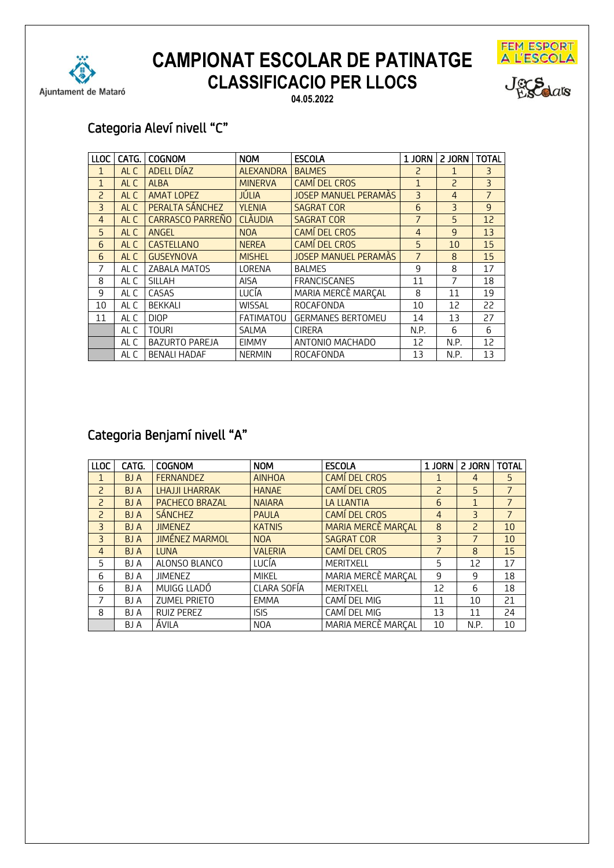



Jeg Salars

**04.05.2022**

## Categoria Aleví nivell "C"

| LLOC           | CATG. | <b>COGNOM</b>         | <b>NOM</b>       | <b>ESCOLA</b>               | 1 JORN         | 2 JORN         | <b>TOTAL</b>   |
|----------------|-------|-----------------------|------------------|-----------------------------|----------------|----------------|----------------|
| 1              | AL C  | ADELL DÍAZ            | <b>ALEXANDRA</b> | <b>BALMES</b>               | ς              | 1              | 3              |
| $\mathbf{1}$   | AL C  | <b>ALBA</b>           | <b>MINERVA</b>   | CAMÍ DEL CROS               | $\mathbf{1}$   | $\overline{a}$ | $\overline{3}$ |
| $\overline{c}$ | AL C  | <b>AMAT LOPEZ</b>     | JÚLIA            | <b>JOSEP MANUEL PERAMAS</b> | 3              | $\overline{4}$ | $\overline{7}$ |
| $\overline{3}$ | AL C  | PERALTA SÁNCHEZ       | <b>YLENIA</b>    | <b>SAGRAT COR</b>           | 6              | 3              | 9              |
| $\overline{4}$ | AL C  | CARRASCO PARREÑO      | <b>CLÀUDIA</b>   | <b>SAGRAT COR</b>           | $\overline{7}$ | 5              | 12             |
| 5              | AL C  | ANGEL                 | <b>NOA</b>       | <b>CAMÍ DEL CROS</b>        | $\overline{4}$ | $\mathsf{q}$   | 13             |
| 6              | AL C  | <b>CASTELLANO</b>     | <b>NEREA</b>     | CAMÍ DEL CROS               | 5              | 10             | 15             |
| 6              | AL C  | <b>GUSEYNOVA</b>      | <b>MISHEL</b>    | <b>JOSEP MANUEL PERAMÀS</b> | $\overline{7}$ | 8              | 15             |
| 7              | AL C  | ZABALA MATOS          | LORENA           | <b>BALMES</b>               | 9              | 8              | 17             |
| 8              | AL C  | <b>SILLAH</b>         | <b>AISA</b>      | <b>FRANCISCANES</b>         | 11             | 7              | 18             |
| 9              | AL C  | CASAS                 | LUCÍA            | MARIA MERCÈ MARCAL          | 8              | 11             | 19             |
| 10             | AL C  | <b>BEKKALI</b>        | <b>WISSAL</b>    | ROCAFONDA                   | 10             | 12             | 22             |
| 11             | AL C  | <b>DIOP</b>           | FATIMATOU        | <b>GERMANES BERTOMEU</b>    | 14             | 13             | 27             |
|                | AL C  | <b>TOURI</b>          | SALMA            | <b>CIRERA</b>               | N.P.           | 6              | 6              |
|                | AL C  | <b>BAZURTO PAREJA</b> | <b>EIMMY</b>     | ANTONIO MACHADO             | 12             | N.P.           | 12             |
|                | AL C  | <b>BENALI HADAF</b>   | <b>NERMIN</b>    | ROCAFONDA                   | 13             | N.P.           | 13             |

## Categoria Benjamí nivell "A"

| <b>LLOC</b>    | CATG.      | <b>COGNOM</b>         | <b>NOM</b>     | <b>ESCOLA</b>      | 1 JORN         | 2 JORN         | <b>TOTAL</b>   |
|----------------|------------|-----------------------|----------------|--------------------|----------------|----------------|----------------|
| 1              | <b>BJA</b> | <b>FERNANDEZ</b>      | <b>AINHOA</b>  | CAMÍ DEL CROS      |                | 4              | 5              |
| $\overline{a}$ | <b>BJA</b> | LHAJJI LHARRAK        | <b>HANAE</b>   | CAMÍ DEL CROS      | $\overline{c}$ | 5              | $\overline{7}$ |
| $\overline{a}$ | BJ A       | PACHECO BRAZAL        | <b>NAIARA</b>  | <b>LA LLANTIA</b>  | 6              | $\mathbf{1}$   | $\overline{7}$ |
| $\overline{a}$ | <b>BJA</b> | <b>SÁNCHEZ</b>        | <b>PAULA</b>   | CAMÍ DEL CROS      | $\overline{4}$ | $\overline{3}$ | $\overline{7}$ |
| 3              | <b>BJA</b> | <b>JIMENEZ</b>        | <b>KATNIS</b>  | MARIA MERCE MARCAL | 8              | $\overline{a}$ | 10             |
| 3              | BJ A       | <b>JIMÉNEZ MARMOL</b> | <b>NOA</b>     | <b>SAGRAT COR</b>  | 3              | $\overline{7}$ | 10             |
| 4              | <b>BJA</b> | <b>LUNA</b>           | <b>VALERIA</b> | CAMÍ DEL CROS      | $\overline{7}$ | 8              | 15             |
| 5              | BJ A       | ALONSO BLANCO         | LUCÍA          | <b>MERITXELL</b>   | 5              | 12             | 17             |
| 6              | BJ A       | <b>JIMENEZ</b>        | <b>MIKEL</b>   | MARIA MERCÈ MARCAL | 9              | 9              | 18             |
| 6              | BJ A       | MUIGG LLADÓ           | CLARA SOFÍA    | <b>MERITXELL</b>   | 12             | 6              | 18             |
| 7              | BJ A       | <b>ZUMEL PRIETO</b>   | <b>EMMA</b>    | CAMÍ DEL MIG       | 11             | 10             | 21             |
| 8              | BJ A       | <b>RUIZ PEREZ</b>     | <b>ISIS</b>    | CAMÍ DEL MIG       | 13             | 11             | 24             |
|                | BJ A       | <b>ÁVILA</b>          | <b>NOA</b>     | MARIA MERCÈ MARÇAL | 10             | N.P.           | 10             |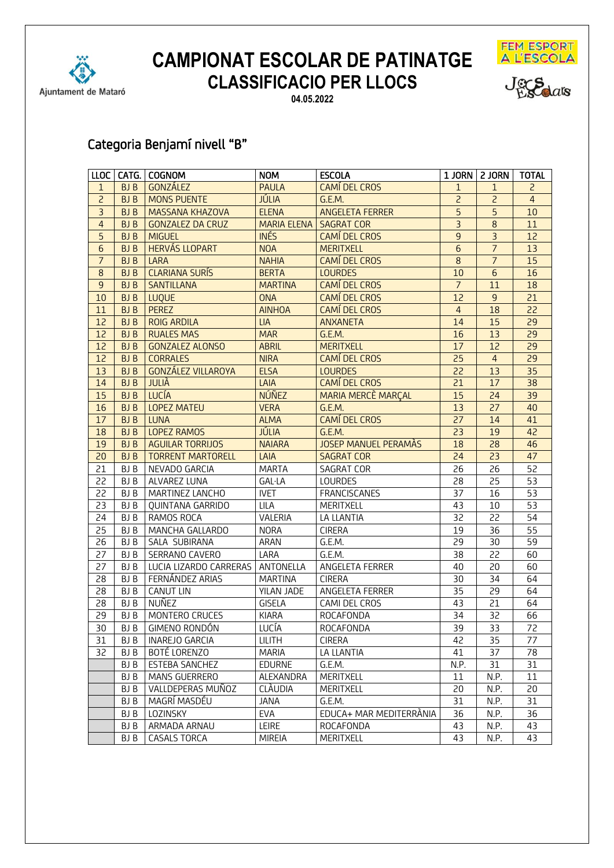

**04.05.2022**





## Categoria Benjamí nivell "B"

|                 |            | LLOC   CATG.   COGNOM     | <b>NOM</b>         | <b>ESCOLA</b>               |                 | 1 JORN   2 JORN | <b>TOTAL</b>    |
|-----------------|------------|---------------------------|--------------------|-----------------------------|-----------------|-----------------|-----------------|
| $\mathbf{1}$    | BJ B       | GONZÁLEZ                  | <b>PAULA</b>       | <b>CAMÍ DEL CROS</b>        | $\mathbf{1}$    | $\mathbf{1}$    | $\overline{c}$  |
| $\overline{c}$  | BJ B       | <b>MONS PUENTE</b>        | <b>JÚLIA</b>       | G.E.M.                      | 2               | $\overline{c}$  | $\overline{4}$  |
| $\overline{3}$  | BJ B       | <b>MASSANA KHAZOVA</b>    | <b>ELENA</b>       | <b>ANGELETA FERRER</b>      | $\overline{5}$  | 5               | 10              |
| $\overline{4}$  | BJ B       | <b>GONZALEZ DA CRUZ</b>   | <b>MARIA ELENA</b> | <b>SAGRAT COR</b>           | $\overline{3}$  | 8               | 11              |
| 5               | BJ B       | <b>MIGUEL</b>             | <b>INÉS</b>        | CAMÍ DEL CROS               | 9               | $\overline{3}$  | 12              |
| $6\phantom{1}6$ | <b>BJB</b> | <b>HERVÁS LLOPART</b>     | <b>NOA</b>         | <b>MERITXELL</b>            | $6\phantom{1}$  | $\overline{7}$  | 13              |
| $\overline{7}$  | <b>BJB</b> | LARA                      | <b>NAHIA</b>       | CAMÍ DEL CROS               | 8               | $\overline{7}$  | 15              |
| $\,8\,$         | <b>BJB</b> | <b>CLARIANA SURÍS</b>     | <b>BERTA</b>       | <b>LOURDES</b>              | 10              | $\overline{6}$  | 16              |
| $\overline{9}$  | <b>BJB</b> | <b>SANTILLANA</b>         | <b>MARTINA</b>     | <b>CAMÍ DEL CROS</b>        | $\overline{7}$  | 11              | 18              |
| 10              | <b>BJB</b> | <b>LUQUE</b>              | <b>ONA</b>         | <b>CAMÍ DEL CROS</b>        | 12              | $\overline{9}$  | 21              |
| 11              | <b>BJB</b> | <b>PEREZ</b>              | <b>AINHOA</b>      | <b>CAMÍ DEL CROS</b>        | $\overline{4}$  | 18              | $\overline{22}$ |
| 12              | <b>BJB</b> | <b>ROIG ARDILA</b>        | <b>LIA</b>         | <b>ANXANETA</b>             | 14              | 15              | 29              |
| 12              | <b>BJB</b> | <b>RUALES MAS</b>         | <b>MAR</b>         | G.E.M.                      | 16              | 13              | 29              |
| 12              | <b>BJB</b> | <b>GONZALEZ ALONSO</b>    | <b>ABRIL</b>       | <b>MERITXELL</b>            | 17              | 12              | 29              |
| 12              | <b>BJB</b> | <b>CORRALES</b>           | <b>NIRA</b>        | <b>CAMÍ DEL CROS</b>        | 25              | $\overline{4}$  | 29              |
| 13              | <b>BJB</b> | <b>GONZÁLEZ VILLAROYA</b> | <b>ELSA</b>        | <b>LOURDES</b>              | 22              | 13              | 35              |
| 14              | <b>BJB</b> | <b>JULIÀ</b>              | LAIA               | <b>CAMÍ DEL CROS</b>        | $\overline{21}$ | 17              | 38              |
| 15              | <b>BJB</b> | <b>LUCÍA</b>              | <b>NÚÑEZ</b>       | <b>MARIA MERCÈ MARÇAL</b>   | 15              | 24              | 39              |
| 16              | <b>BJB</b> | <b>LOPEZ MATEU</b>        | <b>VERA</b>        | G.E.M.                      | 13              | 27              | 40              |
| 17              | <b>BJB</b> | <b>LUNA</b>               | <b>ALMA</b>        | <b>CAMÍ DEL CROS</b>        | 27              | 14              | 41              |
| 18              | <b>BJB</b> | <b>LOPEZ RAMOS</b>        | JÚLIA              | G.E.M.                      | 23              | 19              | 42              |
| 19              | <b>BJB</b> | <b>AGUILAR TORRIJOS</b>   | <b>NAIARA</b>      | <b>JOSEP MANUEL PERAMÀS</b> | 18              | 28              | 46              |
| 20              | <b>BJB</b> | <b>TORRENT MARTORELL</b>  | LAIA               | <b>SAGRAT COR</b>           | 24              | 23              | 47              |
| 21              | BJ B       | NEVADO GARCIA             | <b>MARTA</b>       | <b>SAGRAT COR</b>           | 26              | 26              | 52              |
| 22              | BJ B       | ALVAREZ LUNA              | <b>GAL·LA</b>      | LOURDES                     | 28              | 25              | 53              |
| 22              | BJ B       | MARTINEZ LANCHO           | <b>IVET</b>        | <b>FRANCISCANES</b>         | 37              | 16              | 53              |
| 23              | BJ B       | QUINTANA GARRIDO          | LILA               | MERITXELL                   | 43              | 10              | $\overline{53}$ |
| 24              | BJ B       | RAMOS ROCA                | VALERIA            | LA LLANTIA                  | 32              | 22              | 54              |
| 25              | BJ B       | MANCHA GALLARDO           | <b>NORA</b>        | <b>CIRERA</b>               | 19              | 36              | $\overline{55}$ |
| 26              | BJ B       | SALA SUBIRANA             | ARAN               | G.E.M.                      | 29              | 30              | 59              |
| 27              | BJ B       | SERRANO CAVERO            | LARA               | G.E.M.                      | 38              | 22              | 60              |
| 27              | BJ B       | LUCIA LIZARDO CARRERAS    | ANTONELLA          | ANGELETA FERRER             | 40              | 20              | 60              |
| 28              | BJ B       | FERNÁNDEZ ARIAS           | <b>MARTINA</b>     | <b>CIRERA</b>               | 30              | 34              | 64              |
| 28              | BJ B       | <b>CANUT LIN</b>          | YILAN JADE         | ANGELETA FERRER             | 35              | 29              | 64              |
| 28              | BJ B       | NUÑEZ                     | <b>GISELA</b>      | CAMI DEL CROS               | 43              | 21              | 64              |
| 29              | BJ B       | MONTERO CRUCES            | <b>KIARA</b>       | ROCAFONDA                   | 34              | 32              | 66              |
| 30              | BJ B       | GIMENO RONDÓN             | LUCÍA              | ROCAFONDA                   | 39              | 33              | 72              |
| 31              | BJ B       | <b>INAREJO GARCIA</b>     | <b>LILITH</b>      | <b>CIRERA</b>               | 42              | 35              | 77              |
| 32              | BJ B       | BOTÉ LORENZO              | MARIA              | LA LLANTIA                  | 41              | 37              | 78              |
|                 | BJ B       | <b>ESTEBA SANCHEZ</b>     | <b>EDURNE</b>      | G.E.M.                      | N.P.            | 31              | 31              |
|                 | BJ B       | MANS GUERRERO             | ALEXANDRA          | <b>MERITXELL</b>            | 11              | N.P.            | 11              |
|                 | BJ B       | VALLDEPERAS MUÑOZ         | CLÀUDIA            | MERITXELL                   | 20              | N.P.            | 20              |
|                 | BJ B       | MAGRÍ MASDÉU              | JANA               | G.E.M.                      | 31              | N.P.            | 31              |
|                 | BJ B       | LOZINSKY                  | EVA                | EDUCA+ MAR MEDITERRANIA     | 36              | N.P.            | 36              |
|                 | BJ B       | ARMADA ARNAU              | LEIRE              | ROCAFONDA                   | 43              | N.P.            | 43              |
|                 | BJ B       | CASALS TORCA              | <b>MIREIA</b>      | MERITXELL                   | 43              | N.P.            | 43              |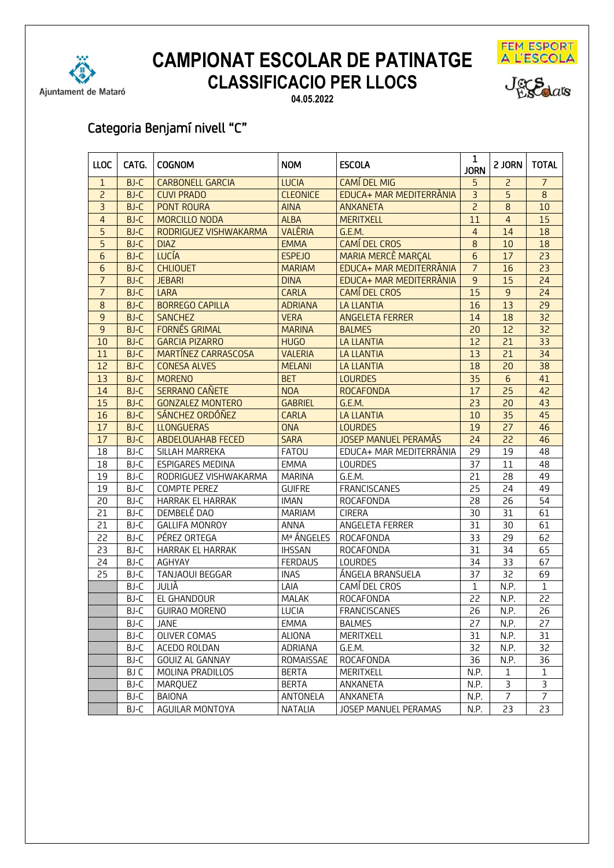



Jeg Salars

**04.05.2022**

## Categoria Benjamí nivell "C"

| <b>LLOC</b>     | CATG.       | <b>COGNOM</b>            | <b>NOM</b>      | <b>ESCOLA</b>               | $\mathbf{1}$<br><b>JORN</b> | 2 JORN          | <b>TOTAL</b>     |
|-----------------|-------------|--------------------------|-----------------|-----------------------------|-----------------------------|-----------------|------------------|
| $\mathbf{1}$    | <b>BJ-C</b> | <b>CARBONELL GARCIA</b>  | <b>LUCIA</b>    | <b>CAMÍ DEL MIG</b>         | 5                           | $\overline{c}$  | $\overline{7}$   |
| $\overline{2}$  | $BI-C$      | <b>CUVI PRADO</b>        | <b>CLEONICE</b> | EDUCA+ MAR MEDITERRANIA     | $\overline{3}$              | 5               | $\overline{8}$   |
| $\overline{3}$  | BJ-C        | <b>PONT ROURA</b>        | <b>AINA</b>     | <b>ANXANETA</b>             | $\overline{c}$              | 8               | 10               |
| $\overline{4}$  | <b>BJ-C</b> | MORCILLO NODA            | <b>ALBA</b>     | <b>MERITXELL</b>            | 11                          | $\overline{4}$  | 15               |
| 5               | <b>BJ-C</b> | RODRIGUEZ VISHWAKARMA    | <b>VALÈRIA</b>  | G.E.M.                      | $\overline{4}$              | 14              | 18               |
| 5               | <b>BJ-C</b> | <b>DIAZ</b>              | <b>EMMA</b>     | <b>CAMÍ DEL CROS</b>        | $\bf8$                      | 10              | 18               |
| $6\phantom{1}6$ | <b>BJ-C</b> | <b>LUCÍA</b>             | <b>ESPEJO</b>   | <b>MARIA MERCÈ MARÇAL</b>   | $\overline{6}$              | 17              | 23               |
| 6               | <b>BJ-C</b> | <b>CHLIOUET</b>          | <b>MARIAM</b>   | EDUCA+ MAR MEDITERRÀNIA     | $\overline{7}$              | 16              | 23               |
| $\overline{7}$  | <b>BJ-C</b> | <b>JEBARI</b>            | <b>DINA</b>     | EDUCA+ MAR MEDITERRÀNIA     | 9                           | 15              | 24               |
| $\overline{7}$  | <b>BJ-C</b> | LARA                     | <b>CARLA</b>    | <b>CAMÍ DEL CROS</b>        | 15                          | 9               | 24               |
| 8               | <b>BJ-C</b> | <b>BORREGO CAPILLA</b>   | <b>ADRIANA</b>  | <b>LA LLANTIA</b>           | 16                          | 13              | $\overline{29}$  |
| 9               | <b>BJ-C</b> | <b>SANCHEZ</b>           | <b>VERA</b>     | <b>ANGELETA FERRER</b>      | 14                          | 18              | 32               |
| 9               | <b>BJ-C</b> | <b>FORNÉS GRIMAL</b>     | <b>MARINA</b>   | <b>BALMES</b>               | 20                          | 12              | $\overline{32}$  |
| 10              | <b>BJ-C</b> | <b>GARCIA PIZARRO</b>    | <b>HUGO</b>     | <b>LA LLANTIA</b>           | $\overline{12}$             | 21              | $\overline{33}$  |
| 11              | <b>BJ-C</b> | MARTÍNEZ CARRASCOSA      | <b>VALERIA</b>  | <b>LA LLANTIA</b>           | 13                          | 21              | 34               |
| 12              | <b>BJ-C</b> | <b>CONESA ALVES</b>      | <b>MELANI</b>   | <b>LA LLANTIA</b>           | 18                          | 20              | 38               |
| 13              | <b>BJ-C</b> | <b>MORENO</b>            | <b>BET</b>      | <b>LOURDES</b>              | 35                          | $6\phantom{1}$  | 41               |
| 14              | <b>BJ-C</b> | <b>SERRANO CAÑETE</b>    | <b>NOA</b>      | <b>ROCAFONDA</b>            | 17                          | 25              | 42               |
| 15              | <b>BJ-C</b> | <b>GONZALEZ MONTERO</b>  | <b>GABRIEL</b>  | G.E.M.                      | 23                          | 20              | 43               |
| 16              | <b>BJ-C</b> | SÁNCHEZ ORDÓÑEZ          | <b>CARLA</b>    | <b>LA LLANTIA</b>           | 10                          | 35              | 45               |
| 17              | <b>BJ-C</b> | <b>LLONGUERAS</b>        | <b>ONA</b>      | <b>LOURDES</b>              | 19                          | 27              | 46               |
| 17              | <b>BJ-C</b> | <b>ABDELOUAHAB FECED</b> | <b>SARA</b>     | <b>JOSEP MANUEL PERAMÀS</b> | 24                          | 22              | 46               |
| 18              | BJ-C        | SILLAH MARREKA           | <b>FATOU</b>    | EDUCA+ MAR MEDITERRÀNIA     | 29                          | 19              | 48               |
| 18              | BJ-C        | <b>ESPIGARES MEDINA</b>  | <b>EMMA</b>     | <b>LOURDES</b>              | 37                          | 11              | 48               |
| 19              | BJ-C        | RODRIGUEZ VISHWAKARMA    | <b>MARINA</b>   | G.E.M.                      | 21                          | 28              | 49               |
| 19              | BJ-C        | <b>COMPTE PEREZ</b>      | <b>GUIFRE</b>   | <b>FRANCISCANES</b>         | 25                          | 24              | 49               |
| 20              | BJ-C        | HARRAK EL HARRAK         | <b>IMAN</b>     | ROCAFONDA                   | 28                          | 26              | 54               |
| 21              | BJ-C        | DEMBELÉ DAO              | MARIAM          | <b>CIRERA</b>               | 30                          | 31              | 61               |
| 21              | BJ-C        | <b>GALLIFA MONROY</b>    | <b>ANNA</b>     | ANGELETA FERRER             | 31                          | 30              | 61               |
| 22              | BJ-C        | PÉREZ ORTEGA             | Mª ÁNGELES      | ROCAFONDA                   | 33                          | 29              | 62               |
| 23              | BJ-C        | <b>HARRAK EL HARRAK</b>  | <b>IHSSAN</b>   | ROCAFONDA                   | $\overline{31}$             | 34              | 65               |
| 24              | BJ-C        | AGHYAY                   | <b>FERDAUS</b>  | <b>LOURDES</b>              | $\overline{34}$             | $\overline{33}$ | 67               |
| 25              | BJ-C        | <b>TANJAOUI BEGGAR</b>   | <b>INAS</b>     | ÁNGELA BRANSUELA            | 37                          | 32              | 69               |
|                 | BJ-C        | JULIÀ                    | LAIA            | CAMÍ DEL CROS               | $\mathbf{1}$                | N.P.            | $\mathbf{1}$     |
|                 | BJ-C        | EL GHANDOUR              | <b>MALAK</b>    | <b>ROCAFONDA</b>            | 22                          | N.P.            | 22               |
|                 | BJ-C        | <b>GUIRAO MORENO</b>     | LUCIA           | <b>FRANCISCANES</b>         | 26                          | N.P.            | 26               |
|                 | BJ-C        | <b>JANE</b>              | <b>EMMA</b>     | <b>BALMES</b>               | 27                          | N.P.            | 27               |
|                 | BJ-C        | OLIVER COMAS             | ALIONA          | MERITXELL                   | 31                          | N.P.            | 31               |
|                 | BJ-C        | ACEDO ROLDAN             | ADRIANA         | G.E.M.                      | 32                          | N.P.            | 32               |
|                 | BJ-C        | <b>GOUIZ AL GANNAY</b>   | ROMAISSAE       | ROCAFONDA                   | 36                          | N.P.            | 36               |
|                 | BJ C        | MOLINA PRADILLOS         | <b>BERTA</b>    | MERITXELL                   | N.P.                        | 1               | $\mathbf{1}$     |
|                 | BJ-C        | MARQUEZ                  | <b>BERTA</b>    | ANXANETA                    | N.P.                        | 3               | 3                |
|                 | BJ-C        | <b>BAIONA</b>            | ANTONELA        | ANXANETA                    | N.P.                        | $\overline{7}$  | $\boldsymbol{7}$ |
|                 | BJ-C        | AGUILAR MONTOYA          | NATALIA         | JOSEP MANUEL PERAMAS        | N.P.                        | 23              | 23               |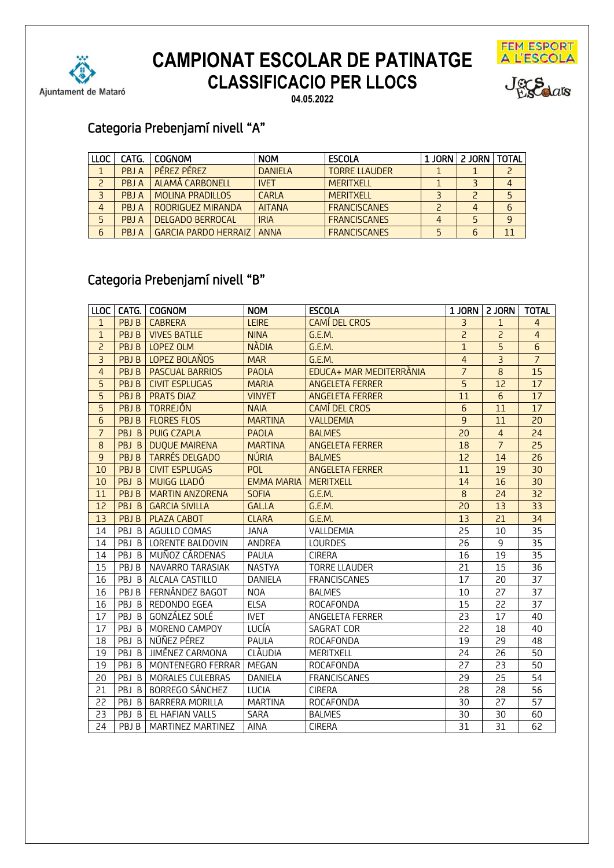

# FEM ESPORT<br>A L'ESCOLA



**CAMPIONAT ESCOLAR DE PATINATGE CLASSIFICACIO PER LLOCS**

**04.05.2022**

## Categoria Prebenjamí nivell "A"

| LLOC | CATG. | I COGNOM                    | <b>NOM</b>     | <b>ESCOLA</b>        | 1 JORN | 2 JORN   TOTAL |  |
|------|-------|-----------------------------|----------------|----------------------|--------|----------------|--|
|      | PRIA  | <b>PFREZ PFREZ</b>          | <b>DANIELA</b> | <b>TORRE LLAUDER</b> |        |                |  |
|      | PRIA  | <b>LALAMA CARBONELL</b>     | <b>IVET</b>    | <b>MERITXELL</b>     |        |                |  |
|      | PRIA  | <b>MOLINA PRADILLOS</b>     | CARIA          | <b>MERITXELL</b>     |        |                |  |
| 4    | PRIA  | RODRIGUEZ MIRANDA           | <b>AITANA</b>  | <b>FRANCISCANES</b>  |        |                |  |
| 5    | PRIA  | DELGADO BERROCAL            | <b>IRIA</b>    | <b>FRANCISCANES</b>  |        |                |  |
| 6    | PBJ A | <b>GARCIA PARDO HERRAIZ</b> | ANNA           | <b>FRANCISCANES</b>  |        |                |  |

## Categoria Prebenjamí nivell "B"

| <b>LLOC</b>    |       | CATG.   COGNOM           | <b>NOM</b>        | <b>ESCOLA</b>           |                 | 1 JORN   2 JORN | <b>TOTAL</b>    |
|----------------|-------|--------------------------|-------------------|-------------------------|-----------------|-----------------|-----------------|
| $\mathbf{1}$   | PBJ B | <b>CABRERA</b>           | <b>LEIRE</b>      | <b>CAMÍ DEL CROS</b>    | $\overline{3}$  | $\mathbf{1}$    | $\overline{4}$  |
| $\mathbf{1}$   | PBJ B | <b>VIVES BATLLE</b>      | <b>NINA</b>       | G.E.M.                  | $\overline{2}$  | $\overline{c}$  | $\overline{4}$  |
| $\overline{2}$ | PBJ B | LOPEZ OLM                | <b>NÀDIA</b>      | G.E.M.                  | $\overline{1}$  | $\overline{5}$  | $\overline{6}$  |
| $\overline{3}$ | PBJ B | LOPEZ BOLAÑOS            | <b>MAR</b>        | G.E.M.                  | $\overline{4}$  | $\overline{3}$  | $\overline{7}$  |
| $\overline{4}$ | PBJ B | <b>PASCUAL BARRIOS</b>   | <b>PAOLA</b>      | EDUCA+ MAR MEDITERRANIA | $\overline{7}$  | $\bf8$          | 15              |
| $\overline{5}$ | PBJ B | <b>CIVIT ESPLUGAS</b>    | <b>MARIA</b>      | <b>ANGELETA FERRER</b>  | $\overline{5}$  | 12              | 17              |
| $\overline{5}$ | PBJ B | <b>PRATS DIAZ</b>        | <b>VINYET</b>     | <b>ANGELETA FERRER</b>  | 11              | $6\overline{6}$ | 17              |
| 5              | PBJ B | <b>TORREJÓN</b>          | <b>NAIA</b>       | CAMÍ DEL CROS           | $6\phantom{.}6$ | 11              | 17              |
| 6              | PBJ B | <b>FLORES FLOS</b>       | <b>MARTINA</b>    | <b>VALLDEMIA</b>        | 9               | 11              | 20              |
| $\overline{7}$ | PBJ B | <b>PUIG CZAPLA</b>       | <b>PAOLA</b>      | <b>BALMES</b>           | 20              | $\overline{4}$  | 24              |
| 8              | PBJ B | <b>DUQUE MAIRENA</b>     | <b>MARTINA</b>    | <b>ANGELETA FERRER</b>  | 18              | $\overline{7}$  | 25              |
| 9              | PBJ B | <b>TARRÉS DELGADO</b>    | <b>NÚRIA</b>      | <b>BALMES</b>           | 12              | 14              | 26              |
| 10             | PBJ B | <b>CIVIT ESPLUGAS</b>    | <b>POL</b>        | <b>ANGELETA FERRER</b>  | 11              | 19              | 30              |
| 10             | PBJ B | MUIGG LLADÓ              | <b>EMMA MARIA</b> | <b>MERITXELL</b>        | 14              | 16              | 30              |
| 11             | PBJ B | <b>MARTIN ANZORENA</b>   | <b>SOFIA</b>      | G.E.M.                  | 8               | 24              | $\overline{32}$ |
| 12             | PBJ B | <b>GARCIA SIVILLA</b>    | <b>GAL.LA</b>     | G.E.M.                  | 20              | 13              | 33              |
| 13             | PBJ B | PLAZA CABOT              | <b>CLARA</b>      | G.E.M.                  | 13              | 21              | 34              |
| 14             | PBJ B | AGULLO COMAS             | <b>JANA</b>       | VALLDEMIA               | 25              | 10              | 35              |
| 14             |       | PBJ B   LORENTE BALDOVIN | ANDREA            | <b>LOURDES</b>          | 26              | 9               | 35              |
| 14             |       | PBJ B MUÑOZ CÁRDENAS     | PAULA             | <b>CIRERA</b>           | 16              | 19              | 35              |
| 15             | PBJ B | NAVARRO TARASIAK         | <b>NASTYA</b>     | <b>TORRE LLAUDER</b>    | 21              | 15              | 36              |
| 16             | PBJ B | ALCALA CASTILLO          | <b>DANIELA</b>    | <b>FRANCISCANES</b>     | 17              | 20              | 37              |
| 16             | PBJ B | FERNÁNDEZ BAGOT          | <b>NOA</b>        | <b>BALMES</b>           | 10              | 27              | 37              |
| 16             |       | PBJ B REDONDO EGEA       | <b>ELSA</b>       | ROCAFONDA               | 15              | 22              | 37              |
| 17             | PBJ B | GONZÁLEZ SOLÉ            | <b>IVET</b>       | ANGELETA FERRER         | 23              | 17              | 40              |
| 17             |       | PBJ B   MORENO CAMPOY    | LUCÍA             | SAGRAT COR              | 22              | 18              | 40              |
| 18             |       | PBJ B NÚÑEZ PÉREZ        | PAULA             | ROCAFONDA               | 19              | 29              | $\overline{48}$ |
| 19             | PBJ B | JIMÉNEZ CARMONA          | <b>CLÀUDIA</b>    | MERITXELL               | 24              | 26              | 50              |
| 19             | PBJ B | MONTENEGRO FERRAR        | MEGAN             | ROCAFONDA               | 27              | 23              | 50              |
| 20             |       | PBJ B   MORALES CULEBRAS | DANIELA           | <b>FRANCISCANES</b>     | 29              | 25              | 54              |
| 21             | PBJ B | BORREGO SÁNCHEZ          | LUCIA             | <b>CIRERA</b>           | 28              | 28              | 56              |
| 22             | PBJ B | <b>BARRERA MORILLA</b>   | <b>MARTINA</b>    | ROCAFONDA               | 30              | 27              | 57              |
| 23             | PBJ B | EL HAFIAN VALLS          | SARA              | <b>BALMES</b>           | 30              | 30              | 60              |
| 24             | PBJ B | <b>MARTINEZ MARTINEZ</b> | AINA              | <b>CIRERA</b>           | 31              | 31              | 62              |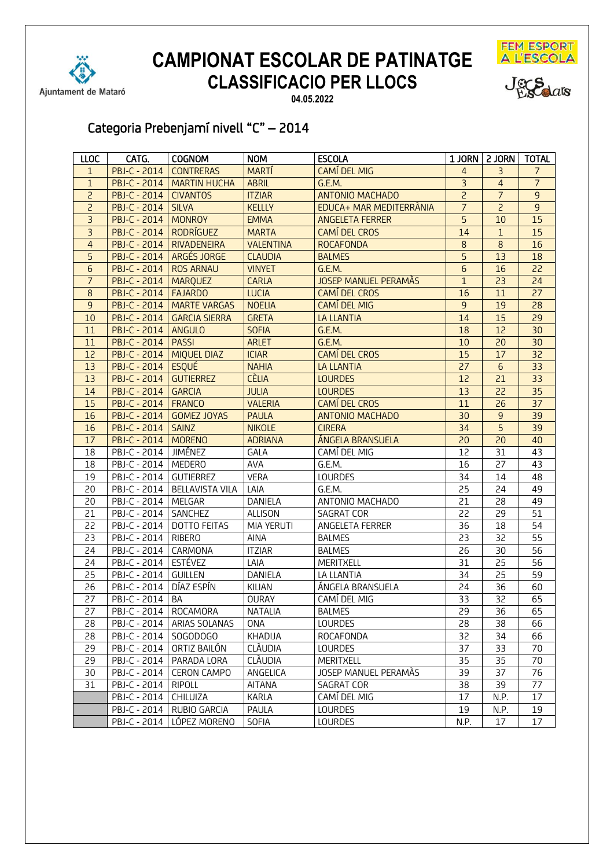





**04.05.2022**

# Categoria Prebenjamí nivell "C" – 2014

| <b>LLOC</b>     | CATG.                         | <b>COGNOM</b>                  | <b>NOM</b>       | <b>ESCOLA</b>               |                | 1 JORN   2 JORN | <b>TOTAL</b>    |
|-----------------|-------------------------------|--------------------------------|------------------|-----------------------------|----------------|-----------------|-----------------|
| $\mathbf{1}$    | PBJ-C - 2014                  | <b>CONTRERAS</b>               | <b>MARTÍ</b>     | <b>CAMÍ DEL MIG</b>         | 4              | 3               | $\overline{7}$  |
| $\mathbf{1}$    |                               | PBJ-C - 2014   MARTIN HUCHA    | <b>ABRIL</b>     | G.E.M.                      | $\overline{3}$ | $\overline{4}$  | $\overline{7}$  |
| $\overline{c}$  | PBJ-C - 2014   CIVANTOS       |                                | <b>ITZIAR</b>    | <b>ANTONIO MACHADO</b>      | $\overline{2}$ | $\overline{7}$  | $\overline{9}$  |
| $\overline{c}$  | PBJ-C - 2014   SILVA          |                                | <b>KELLLY</b>    | EDUCA+ MAR MEDITERRANIA     | $\overline{7}$ | $\overline{c}$  | $\overline{9}$  |
| $\overline{3}$  | <b>PBJ-C - 2014   MONROY</b>  |                                | <b>EMMA</b>      | <b>ANGELETA FERRER</b>      | 5              | 10              | 15              |
| $\overline{3}$  | PBJ-C - 2014   RODRÍGUEZ      |                                | <b>MARTA</b>     | <b>CAMÍ DEL CROS</b>        | 14             | $\mathbf{1}$    | 15              |
| $\overline{4}$  |                               | PBJ-C - 2014   RIVADENEIRA     | <b>VALENTINA</b> | <b>ROCAFONDA</b>            | 8              | 8               | 16              |
| 5               |                               | PBJ-C - 2014   ARGÉS JORGE     | <b>CLAUDIA</b>   | <b>BALMES</b>               | 5              | 13              | 18              |
| $6\phantom{1}6$ | <b>PBJ-C - 2014 ROS ARNAU</b> |                                | <b>VINYET</b>    | G.E.M.                      | 6              | 16              | 22              |
| $\overline{7}$  | PBJ-C - 2014   MARQUEZ        |                                | <b>CARLA</b>     | <b>JOSEP MANUEL PERAMÀS</b> | $\overline{1}$ | 23              | 24              |
| $\bf8$          | PBJ-C - 2014   FAJARDO        |                                | <b>LUCIA</b>     | CAMÍ DEL CROS               | 16             | 11              | 27              |
| 9               |                               | PBJ-C - 2014   MARTE VARGAS    | <b>NOELIA</b>    | CAMÍ DEL MIG                | 9              | 19              | 28              |
| 10              |                               | PBJ-C - 2014   GARCIA SIERRA   | <b>GRETA</b>     | <b>LA LLANTIA</b>           | 14             | 15              | 29              |
| 11              | <b>PBJ-C - 2014   ANGULO</b>  |                                | <b>SOFIA</b>     | G.E.M.                      | 18             | 12              | 30              |
| 11              | <b>PBJ-C - 2014   PASSI</b>   |                                | <b>ARLET</b>     | G.E.M.                      | 10             | 20              | 30              |
| 12              |                               | PBJ-C - 2014   MIQUEL DIAZ     | <b>ICIAR</b>     | CAMÍ DEL CROS               | 15             | 17              | 32              |
| 13              | <b>PBJ-C - 2014 ESQUÉ</b>     |                                | <b>NAHIA</b>     | <b>LA LLANTIA</b>           | 27             | $6\overline{6}$ | $\overline{33}$ |
| 13              | PBJ-C - 2014   GUTIERREZ      |                                | <b>CÈLIA</b>     | <b>LOURDES</b>              | 12             | 21              | 33              |
| 14              | PBJ-C - 2014 GARCIA           |                                | <b>JULIA</b>     | <b>LOURDES</b>              | 13             | 22              | $\overline{35}$ |
| 15              | <b>PBJ-C - 2014   FRANCO</b>  |                                | <b>VALERIA</b>   | <b>CAMÍ DEL CROS</b>        | 11             | 26              | 37              |
| 16              |                               | PBJ-C - 2014 GOMEZ JOYAS       | <b>PAULA</b>     | <b>ANTONIO MACHADO</b>      | 30             | $\overline{9}$  | 39              |
| 16              | <b>PBJ-C - 2014   SAINZ</b>   |                                | <b>NIKOLE</b>    | <b>CIRERA</b>               | 34             | $\overline{5}$  | 39              |
| 17              | <b>PBJ-C - 2014   MORENO</b>  |                                | <b>ADRIANA</b>   | ÁNGELA BRANSUELA            | 20             | 20              | 40              |
| 18              | PBJ-C - 2014   JIMÉNEZ        |                                | GALA             | CAMÍ DEL MIG                | 12             | 31              | 43              |
| 18              | PBJ-C - 2014   MEDERO         |                                | AVA              | G.E.M.                      | 16             | 27              | 43              |
| 19              | PBJ-C - 2014   GUTIERREZ      |                                | <b>VERA</b>      | LOURDES                     | 34             | 14              | 48              |
| 20              |                               | PBJ-C - 2014   BELLAVISTA VILA | LAIA             | G.E.M.                      | 25             | 24              | 49              |
| 20              | PBJ-C - 2014   MELGAR         |                                | DANIELA          | ANTONIO MACHADO             | 21             | 28              | 49              |
| 21              | PBJ-C - 2014   SANCHEZ        |                                | <b>ALLISON</b>   | SAGRAT COR                  | 22             | 29              | 51              |
| 22              |                               | PBJ-C - 2014   DOTTO FEITAS    | MIA YERUTI       | ANGELETA FERRER             | 36             | 18              | 54              |
| 23              | PBJ-C - 2014   RIBERO         |                                | AINA             | <b>BALMES</b>               | 23             | 32              | 55              |
| 24              | PBJ-C - 2014   CARMONA        |                                | <b>ITZIAR</b>    | <b>BALMES</b>               | 26             | 30              | 56              |
| 24              | PBJ-C - 2014 ESTÉVEZ          |                                | LAIA             | MERITXELL                   | 31             | 25              | 56              |
| 25              | PBJ-C - 2014 GUILLEN          |                                | DANIELA          | LA LLANTIA                  | 34             | 25              | 59              |
| 26              | PBJ-C - 2014   DÍAZ ESPÍN     |                                | KILIAN           | ÁNGELA BRANSUELA            | 24             | 36              | 60              |
| 27              | PBJ-C - 2014                  | <b>BA</b>                      | <b>OURAY</b>     | CAMÍ DEL MIG                | 33             | 32              | 65              |
| 27              | PBJ-C - 2014   ROCAMORA       |                                | <b>NATALIA</b>   | <b>BALMES</b>               | 29             | 36              | 65              |
| 28              |                               | PBJ-C - 2014   ARIAS SOLANAS   | ONA              | LOURDES                     | 28             | 38              | 66              |
| 28              | PBJ-C - 2014                  | SOGODOGO                       | KHADIJA          | ROCAFONDA                   | 32             | 34              | 66              |
| 29              | PBJ-C - 2014                  | ORTIZ BAILÓN                   | CLÀUDIA          | LOURDES                     | 37             | 33              | 70              |
| 29              | PBJ-C - 2014                  | PARADA LORA                    | CLÁUDIA          | MERITXELL                   | 35             | 35              | 70              |
| 30              | PBJ-C - 2014                  | <b>CERON CAMPO</b>             | ANGELICA         | JOSEP MANUEL PERAMAS        | 39             | 37              | 76              |
| 31              | PBJ-C - 2014                  | <b>RIPOLL</b>                  | AITANA           | SAGRAT COR                  | 38             | 39              | 77              |
|                 | PBJ-C - 2014                  | <b>CHILUIZA</b>                | KARLA            | CAMÍ DEL MIG                | 17             | N.P.            | 17              |
|                 |                               | PBJ-C - 2014   RUBIO GARCIA    | PAULA            | <b>LOURDES</b>              | 19             | N.P.            | 19              |
|                 |                               | PBJ-C - 2014   LÓPEZ MORENO    | <b>SOFIA</b>     | LOURDES                     | N.P.           | 17              | 17              |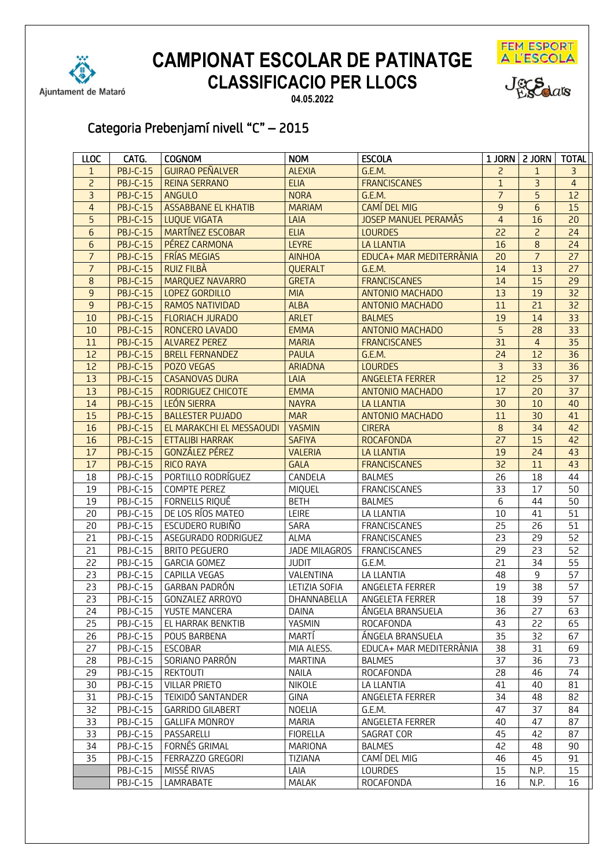





**04.05.2022**

# Categoria Prebenjamí nivell "C" – 2015

| <b>LLOC</b>     | CATG.           | <b>COGNOM</b>              | <b>NOM</b>           | <b>ESCOLA</b>               |                 | 1 JORN   2 JORN   TOTAL |                |
|-----------------|-----------------|----------------------------|----------------------|-----------------------------|-----------------|-------------------------|----------------|
| $\mathbf{1}$    | <b>PBJ-C-15</b> | <b>GUIRAO PEÑALVER</b>     | <b>ALEXIA</b>        | G.E.M.                      | $\overline{c}$  | $\mathbf{1}$            | $\overline{3}$ |
| $\overline{2}$  | <b>PBJ-C-15</b> | <b>REINA SERRANO</b>       | <b>ELIA</b>          | <b>FRANCISCANES</b>         | $\mathbf{1}$    | $\overline{3}$          | $\overline{4}$ |
| $\overline{3}$  | <b>PBJ-C-15</b> | <b>ANGULO</b>              | <b>NORA</b>          | G.E.M.                      | $\overline{7}$  | $\overline{5}$          | 12             |
| $\overline{4}$  | <b>PBJ-C-15</b> | <b>ASSABBANE EL KHATIB</b> | <b>MARIAM</b>        | <b>CAMÍ DEL MIG</b>         | $\overline{9}$  | $\overline{6}$          | 15             |
| 5               | <b>PBJ-C-15</b> | <b>LUQUE VIGATA</b>        | LAIA                 | <b>JOSEP MANUEL PERAMÀS</b> | $\overline{4}$  | 16                      | 20             |
| 6               | <b>PBJ-C-15</b> | MARTÍNEZ ESCOBAR           | <b>ELIA</b>          | <b>LOURDES</b>              | 22              | $\overline{c}$          | 24             |
| $6\phantom{a}$  | <b>PBJ-C-15</b> | PÉREZ CARMONA              | <b>LEYRE</b>         | <b>LA LLANTIA</b>           | 16              | $\,8\,$                 | 24             |
| $\overline{7}$  | <b>PBJ-C-15</b> | FRÍAS MEGIAS               | <b>AINHOA</b>        | EDUCA+ MAR MEDITERRANIA     | 20              | $\overline{7}$          | 27             |
| $\overline{7}$  | <b>PBJ-C-15</b> | <b>RUIZ FILBÀ</b>          | <b>OUERALT</b>       | G.E.M.                      | 14              | 13                      | 27             |
| 8               | <b>PBJ-C-15</b> | MARQUEZ NAVARRO            | <b>GRETA</b>         | <b>FRANCISCANES</b>         | 14              | 15                      | 29             |
| 9               | <b>PBJ-C-15</b> | LOPEZ GORDILLO             | <b>MIA</b>           | <b>ANTONIO MACHADO</b>      | 13              | 19                      | 32             |
| 9               | <b>PBJ-C-15</b> | <b>RAMOS NATIVIDAD</b>     | <b>ALBA</b>          | <b>ANTONIO MACHADO</b>      | 11              | $\overline{21}$         | 32             |
| 10              | <b>PBJ-C-15</b> | <b>FLORIACH JURADO</b>     | <b>ARLET</b>         | <b>BALMES</b>               | 19              | 14                      | 33             |
| 10              | <b>PBJ-C-15</b> | RONCERO LAVADO             | <b>EMMA</b>          | <b>ANTONIO MACHADO</b>      | $\overline{5}$  | 28                      | 33             |
| 11              | <b>PBJ-C-15</b> | <b>ALVAREZ PEREZ</b>       | <b>MARIA</b>         | <b>FRANCISCANES</b>         | 31              | $\overline{4}$          | 35             |
| $\overline{12}$ | <b>PBJ-C-15</b> | <b>BRELL FERNANDEZ</b>     | <b>PAULA</b>         | G.E.M.                      | 24              | $\overline{12}$         | 36             |
| 12              | <b>PBJ-C-15</b> | POZO VEGAS                 | <b>ARIADNA</b>       | <b>LOURDES</b>              | $\overline{3}$  | 33                      | 36             |
| 13              | <b>PBJ-C-15</b> | <b>CASANOVAS DURA</b>      | LAIA                 | <b>ANGELETA FERRER</b>      | 12              | 25                      | 37             |
| 13              | <b>PBJ-C-15</b> | RODRIGUEZ CHICOTE          | <b>EMMA</b>          | <b>ANTONIO MACHADO</b>      | 17              | 20                      | 37             |
| 14              | <b>PBJ-C-15</b> | LEÓN SIERRA                | <b>NAYRA</b>         | <b>LA LLANTIA</b>           | 30              | 10                      | 40             |
| 15              | <b>PBJ-C-15</b> | <b>BALLESTER PUJADO</b>    | <b>MAR</b>           | <b>ANTONIO MACHADO</b>      | 11              | 30                      | 41             |
| 16              | <b>PBJ-C-15</b> | EL MARAKCHI EL MESSAOUDI   | <b>YASMIN</b>        | <b>CIRERA</b>               | $\,8\,$         | 34                      | 42             |
| 16              | <b>PBJ-C-15</b> | <b>ETTALIBI HARRAK</b>     | <b>SAFIYA</b>        | <b>ROCAFONDA</b>            | 27              | 15                      | 42             |
| 17              | <b>PBJ-C-15</b> | GONZÁLEZ PÉREZ             | <b>VALERIA</b>       | <b>LA LLANTIA</b>           | 19              | 24                      | 43             |
| 17              | <b>PBJ-C-15</b> | <b>RICO RAYA</b>           | <b>GALA</b>          | <b>FRANCISCANES</b>         | 32              | 11                      | 43             |
| 18              | PBJ-C-15        | PORTILLO RODRÍGUEZ         | CANDELA              | <b>BALMES</b>               | 26              | 18                      | 44             |
| 19              | PBJ-C-15        | <b>COMPTE PEREZ</b>        | MIQUEL               | <b>FRANCISCANES</b>         | 33              | 17                      | 50             |
| 19              | PBJ-C-15        | FORNELLS RIQUÉ             | <b>BETH</b>          | <b>BALMES</b>               | 6               | 44                      | 50             |
| 20              | PBJ-C-15        | DE LOS RÍOS MATEO          | LEIRE                | LA LLANTIA                  | 10              | 41                      | 51             |
| 20              | PBJ-C-15        | ESCUDERO RUBIÑO            | SARA                 | <b>FRANCISCANES</b>         | 25              | 26                      | 51             |
| 21              | <b>PBJ-C-15</b> | ASEGURADO RODRIGUEZ        | <b>ALMA</b>          | <b>FRANCISCANES</b>         | 23              | 29                      | 52             |
| 21              | <b>PBJ-C-15</b> | <b>BRITO PEGUERO</b>       | <b>JADE MILAGROS</b> | FRANCISCANES                | 29              | 23                      | 52             |
| 22              | PBJ-C-15        | <b>GARCIA GOMEZ</b>        | <b>JUDIT</b>         | G.E.M.                      | 21              | 34                      | 55             |
| 23              | PBJ-C-15        | CAPILLA VEGAS              | VALENTINA            | LA LLANTIA                  | 48              | 9                       | 57             |
| 23              | <b>PBJ-C-15</b> | GARBAN PADRÓN              | LETIZIA SOFIA        | ANGELETA FERRER             | 19              | 38                      | 57             |
| 23              | <b>PBJ-C-15</b> | <b>GONZALEZ ARROYO</b>     | DHANNABELLA          | ANGELETA FERRER             | 18              | 39                      | 57             |
| 24              | PBJ-C-15        | YUSTE MANCERA              | <b>DAINA</b>         | ÁNGELA BRANSUELA            | $\overline{36}$ | 27                      | 63             |
| 25              | <b>PBJ-C-15</b> | EL HARRAK BENKTIB          | YASMIN               | ROCAFONDA                   | 43              | 22                      | 65             |
| 26              | <b>PBJ-C-15</b> | POUS BARBENA               | MARTÍ                | ÁNGELA BRANSUELA            | 35              | 32                      | 67             |
| 27              | PBJ-C-15        | <b>ESCOBAR</b>             | MIA ALESS.           | EDUCA+ MAR MEDITERRANIA     | 38              | 31                      | 69             |
| 28              | PBJ-C-15        | SORIANO PARRÓN             | <b>MARTINA</b>       | <b>BALMES</b>               | 37              | 36                      | 73             |
| 29              | PBJ-C-15        | <b>REKTOUTI</b>            | NAILA                | ROCAFONDA                   | 28              | 46                      | 74             |
| 30              | <b>PBJ-C-15</b> | <b>VILLAR PRIETO</b>       | <b>NIKOLE</b>        | LA LLANTIA                  | 41              | 40                      | 81             |
| 31              | <b>PBJ-C-15</b> | TEIXIDÓ SANTANDER          | <b>GINA</b>          | ANGELETA FERRER             | 34              | 48                      | 82             |
| 32              | PBJ-C-15        | <b>GARRIDO GILABERT</b>    | NOELIA               | G.E.M.                      | 47              | 37                      | 84             |
| 33              | <b>PBJ-C-15</b> | <b>GALLIFA MONROY</b>      | MARIA                | ANGELETA FERRER             | 40              | 47                      | 87             |
| 33              | <b>PBJ-C-15</b> | PASSARELLI                 | <b>FIORELLA</b>      | SAGRAT COR                  | 45              | 42                      | 87             |
| 34              | PBJ-C-15        | FORNÉS GRIMAL              | MARIONA              | <b>BALMES</b>               | 42              | 48                      | 90             |
| 35              | <b>PBJ-C-15</b> | FERRAZZO GREGORI           | TIZIANA              | CAMÍ DEL MIG                | 46              | 45                      | 91             |
|                 | PBJ-C-15        | MISSÉ RIVAS                | LAIA                 | LOURDES                     | 15              | N.P.                    | 15             |
|                 | <b>PBJ-C-15</b> | LAMRABATE                  | MALAK                | ROCAFONDA                   | 16              | N.P.                    | 16             |